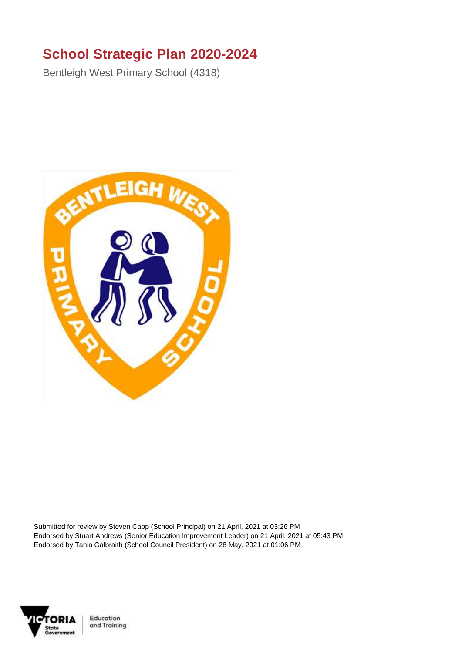## **School Strategic Plan 2020-2024**

Bentleigh West Primary School (4318)



Submitted for review by Steven Capp (School Principal) on 21 April, 2021 at 03:26 PM Endorsed by Stuart Andrews (Senior Education Improvement Leader) on 21 April, 2021 at 05:43 PM Endorsed by Tania Galbraith (School Council President) on 28 May, 2021 at 01:06 PM



Education and Training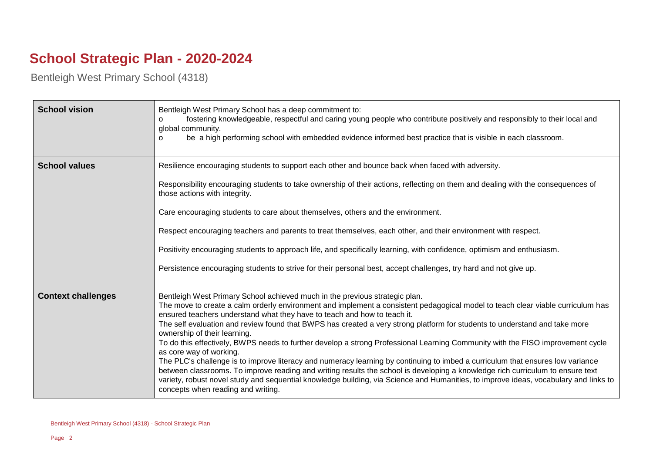## **School Strategic Plan - 2020-2024**

Bentleigh West Primary School (4318)

| <b>School vision</b>      | Bentleigh West Primary School has a deep commitment to:<br>fostering knowledgeable, respectful and caring young people who contribute positively and responsibly to their local and<br>$\Omega$<br>global community.<br>be a high performing school with embedded evidence informed best practice that is visible in each classroom.<br>$\Omega$                                                                                                                                                                                                                                                                                                                                                                                                                                                                                                                                                                                                                                                                                                                        |
|---------------------------|-------------------------------------------------------------------------------------------------------------------------------------------------------------------------------------------------------------------------------------------------------------------------------------------------------------------------------------------------------------------------------------------------------------------------------------------------------------------------------------------------------------------------------------------------------------------------------------------------------------------------------------------------------------------------------------------------------------------------------------------------------------------------------------------------------------------------------------------------------------------------------------------------------------------------------------------------------------------------------------------------------------------------------------------------------------------------|
| <b>School values</b>      | Resilience encouraging students to support each other and bounce back when faced with adversity.<br>Responsibility encouraging students to take ownership of their actions, reflecting on them and dealing with the consequences of<br>those actions with integrity.<br>Care encouraging students to care about themselves, others and the environment.<br>Respect encouraging teachers and parents to treat themselves, each other, and their environment with respect.<br>Positivity encouraging students to approach life, and specifically learning, with confidence, optimism and enthusiasm.<br>Persistence encouraging students to strive for their personal best, accept challenges, try hard and not give up.                                                                                                                                                                                                                                                                                                                                                  |
| <b>Context challenges</b> | Bentleigh West Primary School achieved much in the previous strategic plan.<br>The move to create a calm orderly environment and implement a consistent pedagogical model to teach clear viable curriculum has<br>ensured teachers understand what they have to teach and how to teach it.<br>The self evaluation and review found that BWPS has created a very strong platform for students to understand and take more<br>ownership of their learning.<br>To do this effectively, BWPS needs to further develop a strong Professional Learning Community with the FISO improvement cycle<br>as core way of working.<br>The PLC's challenge is to improve literacy and numeracy learning by continuing to imbed a curriculum that ensures low variance<br>between classrooms. To improve reading and writing results the school is developing a knowledge rich curriculum to ensure text<br>variety, robust novel study and sequential knowledge building, via Science and Humanities, to improve ideas, vocabulary and links to<br>concepts when reading and writing. |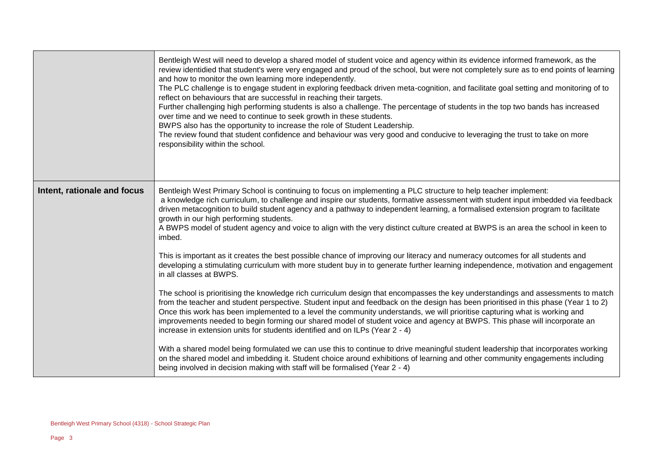|                             | Bentleigh West will need to develop a shared model of student voice and agency within its evidence informed framework, as the<br>review identidied that student's were very engaged and proud of the school, but were not completely sure as to end points of learning<br>and how to monitor the own learning more independently.<br>The PLC challenge is to engage student in exploring feedback driven meta-cognition, and facilitate goal setting and monitoring of to<br>reflect on behaviours that are successful in reaching their targets.<br>Further challenging high performing students is also a challenge. The percentage of students in the top two bands has increased<br>over time and we need to continue to seek growth in these students.<br>BWPS also has the opportunity to increase the role of Student Leadership.<br>The review found that student confidence and behaviour was very good and conducive to leveraging the trust to take on more<br>responsibility within the school.                                                                                                                                                                                                                                                                                                                                                                                                                                                                                                                                                                                                                                                                                                                                                                                                                                                     |
|-----------------------------|-----------------------------------------------------------------------------------------------------------------------------------------------------------------------------------------------------------------------------------------------------------------------------------------------------------------------------------------------------------------------------------------------------------------------------------------------------------------------------------------------------------------------------------------------------------------------------------------------------------------------------------------------------------------------------------------------------------------------------------------------------------------------------------------------------------------------------------------------------------------------------------------------------------------------------------------------------------------------------------------------------------------------------------------------------------------------------------------------------------------------------------------------------------------------------------------------------------------------------------------------------------------------------------------------------------------------------------------------------------------------------------------------------------------------------------------------------------------------------------------------------------------------------------------------------------------------------------------------------------------------------------------------------------------------------------------------------------------------------------------------------------------------------------------------------------------------------------------------------------------|
| Intent, rationale and focus | Bentleigh West Primary School is continuing to focus on implementing a PLC structure to help teacher implement:<br>a knowledge rich curriculum, to challenge and inspire our students, formative assessment with student input imbedded via feedback<br>driven metacognition to build student agency and a pathway to independent learning, a formalised extension program to facilitate<br>growth in our high performing students.<br>A BWPS model of student agency and voice to align with the very distinct culture created at BWPS is an area the school in keen to<br>imbed.<br>This is important as it creates the best possible chance of improving our literacy and numeracy outcomes for all students and<br>developing a stimulating curriculum with more student buy in to generate further learning independence, motivation and engagement<br>in all classes at BWPS.<br>The school is prioritising the knowledge rich curriculum design that encompasses the key understandings and assessments to match<br>from the teacher and student perspective. Student input and feedback on the design has been prioritised in this phase (Year 1 to 2)<br>Once this work has been implemented to a level the community understands, we will prioritise capturing what is working and<br>improvements needed to begin forming our shared model of student voice and agency at BWPS. This phase will incorporate an<br>increase in extension units for students identified and on ILPs (Year 2 - 4)<br>With a shared model being formulated we can use this to continue to drive meaningful student leadership that incorporates working<br>on the shared model and imbedding it. Student choice around exhibitions of learning and other community engagements including<br>being involved in decision making with staff will be formalised (Year 2 - 4) |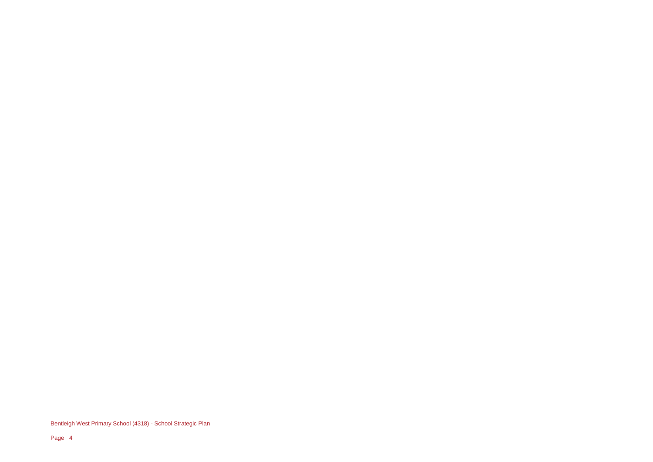Bentleigh West Primary School (4318) - School Strategic Plan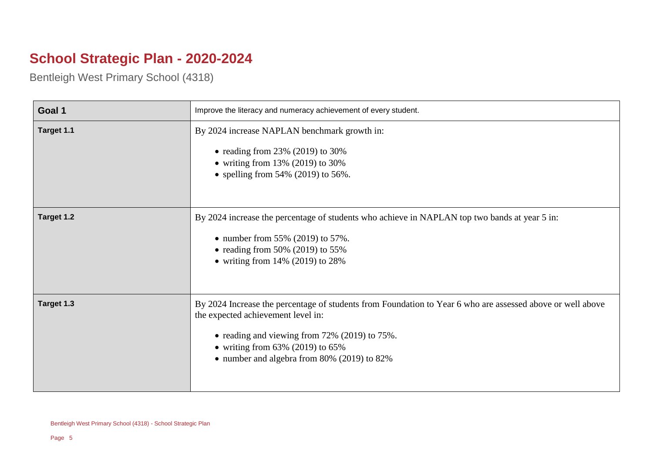## **School Strategic Plan - 2020-2024**

Bentleigh West Primary School (4318)

| Goal 1     | Improve the literacy and numeracy achievement of every student.                                                                                                                                                                                                                            |
|------------|--------------------------------------------------------------------------------------------------------------------------------------------------------------------------------------------------------------------------------------------------------------------------------------------|
| Target 1.1 | By 2024 increase NAPLAN benchmark growth in:<br>• reading from $23\%$ (2019) to 30%<br>• writing from $13\%$ (2019) to 30%<br>• spelling from $54\%$ (2019) to $56\%$ .                                                                                                                    |
| Target 1.2 | By 2024 increase the percentage of students who achieve in NAPLAN top two bands at year 5 in:<br>• number from 55% (2019) to 57%.<br>• reading from 50% (2019) to 55%<br>• writing from $14\%$ (2019) to 28%                                                                               |
| Target 1.3 | By 2024 Increase the percentage of students from Foundation to Year 6 who are assessed above or well above<br>the expected achievement level in:<br>• reading and viewing from 72% (2019) to 75%.<br>• writing from $63\%$ (2019) to $65\%$<br>• number and algebra from 80% (2019) to 82% |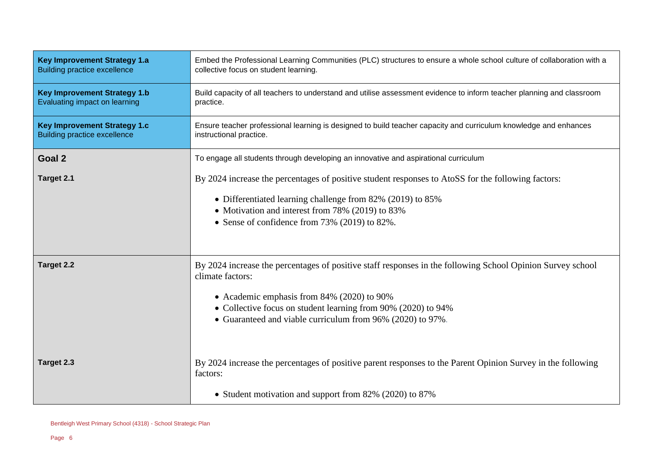| <b>Key Improvement Strategy 1.a</b><br><b>Building practice excellence</b> | Embed the Professional Learning Communities (PLC) structures to ensure a whole school culture of collaboration with a<br>collective focus on student learning.                                                                                                                                              |
|----------------------------------------------------------------------------|-------------------------------------------------------------------------------------------------------------------------------------------------------------------------------------------------------------------------------------------------------------------------------------------------------------|
| <b>Key Improvement Strategy 1.b</b><br>Evaluating impact on learning       | Build capacity of all teachers to understand and utilise assessment evidence to inform teacher planning and classroom<br>practice.                                                                                                                                                                          |
| <b>Key Improvement Strategy 1.c</b><br><b>Building practice excellence</b> | Ensure teacher professional learning is designed to build teacher capacity and curriculum knowledge and enhances<br>instructional practice.                                                                                                                                                                 |
| Goal 2                                                                     | To engage all students through developing an innovative and aspirational curriculum                                                                                                                                                                                                                         |
| Target 2.1                                                                 | By 2024 increase the percentages of positive student responses to AtoSS for the following factors:<br>• Differentiated learning challenge from 82% (2019) to 85%<br>• Motivation and interest from 78% (2019) to 83%<br>• Sense of confidence from 73% (2019) to 82%.                                       |
| <b>Target 2.2</b>                                                          | By 2024 increase the percentages of positive staff responses in the following School Opinion Survey school<br>climate factors:<br>• Academic emphasis from 84% (2020) to 90%<br>• Collective focus on student learning from 90% (2020) to 94%<br>• Guaranteed and viable curriculum from 96% (2020) to 97%. |
| Target 2.3                                                                 | By 2024 increase the percentages of positive parent responses to the Parent Opinion Survey in the following<br>factors:<br>• Student motivation and support from 82% (2020) to 87%                                                                                                                          |
|                                                                            |                                                                                                                                                                                                                                                                                                             |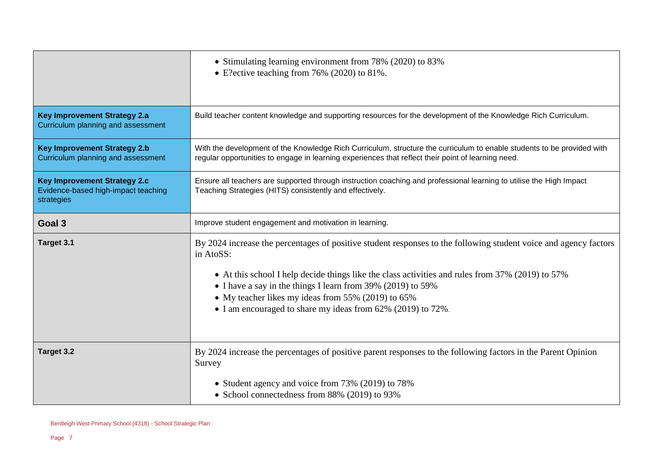|                                                                                          | • Stimulating learning environment from 78% (2020) to 83%<br>$\bullet$ E?ective teaching from 76% (2020) to 81%.                                                                                                                                                                                                                                                                                                      |
|------------------------------------------------------------------------------------------|-----------------------------------------------------------------------------------------------------------------------------------------------------------------------------------------------------------------------------------------------------------------------------------------------------------------------------------------------------------------------------------------------------------------------|
| <b>Key Improvement Strategy 2.a</b><br>Curriculum planning and assessment                | Build teacher content knowledge and supporting resources for the development of the Knowledge Rich Curriculum.                                                                                                                                                                                                                                                                                                        |
| <b>Key Improvement Strategy 2.b</b><br>Curriculum planning and assessment                | With the development of the Knowledge Rich Curriculum, structure the curriculum to enable students to be provided with<br>regular opportunities to engage in learning experiences that reflect their point of learning need.                                                                                                                                                                                          |
| <b>Key Improvement Strategy 2.c</b><br>Evidence-based high-impact teaching<br>strategies | Ensure all teachers are supported through instruction coaching and professional learning to utilise the High Impact<br>Teaching Strategies (HITS) consistently and effectively.                                                                                                                                                                                                                                       |
| Goal 3                                                                                   | Improve student engagement and motivation in learning.                                                                                                                                                                                                                                                                                                                                                                |
| Target 3.1                                                                               | By 2024 increase the percentages of positive student responses to the following student voice and agency factors<br>in AtoSS:<br>• At this school I help decide things like the class activities and rules from 37% (2019) to 57%<br>• I have a say in the things I learn from 39% (2019) to 59%<br>• My teacher likes my ideas from 55% (2019) to 65%<br>• I am encouraged to share my ideas from 62% (2019) to 72%. |
| Target 3.2                                                                               | By 2024 increase the percentages of positive parent responses to the following factors in the Parent Opinion<br>Survey<br>• Student agency and voice from 73% (2019) to 78%<br>• School connectedness from 88% (2019) to 93%                                                                                                                                                                                          |